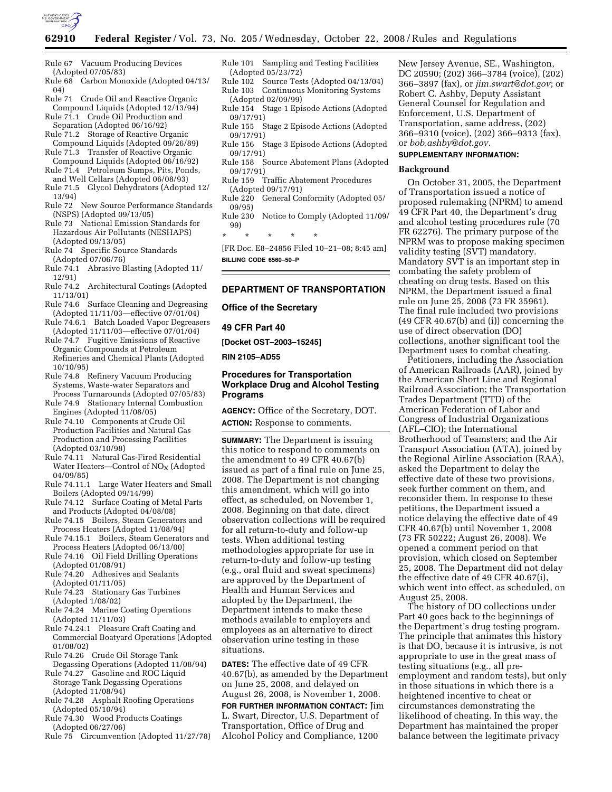

- Rule 67 Vacuum Producing Devices (Adopted 07/05/83)
- Rule 68 Carbon Monoxide (Adopted 04/13/ 04)
- Rule 71 Crude Oil and Reactive Organic Compound Liquids (Adopted 12/13/94) Rule 71.1 Crude Oil Production and
- Separation (Adopted 06/16/92) Rule 71.2 Storage of Reactive Organic
- Compound Liquids (Adopted 09/26/89)
- Rule 71.3 Transfer of Reactive Organic Compound Liquids (Adopted 06/16/92)
- Rule 71.4 Petroleum Sumps, Pits, Ponds, and Well Cellars (Adopted 06/08/93)
- Rule 71.5 Glycol Dehydrators (Adopted 12/ 13/94)
- Rule 72 New Source Performance Standards (NSPS) (Adopted 09/13/05)
- Rule 73 National Emission Standards for Hazardous Air Pollutants (NESHAPS) (Adopted 09/13/05)
- Rule 74 Specific Source Standards (Adopted 07/06/76)
- Rule 74.1 Abrasive Blasting (Adopted 11/ 12/91)
- Rule 74.2 Architectural Coatings (Adopted 11/13/01)
- Rule 74.6 Surface Cleaning and Degreasing (Adopted 11/11/03—effective 07/01/04)
- Rule 74.6.1 Batch Loaded Vapor Degreasers (Adopted 11/11/03—effective 07/01/04)
- Rule 74.7 Fugitive Emissions of Reactive Organic Compounds at Petroleum Refineries and Chemical Plants (Adopted 10/10/95)
- Rule 74.8 Refinery Vacuum Producing Systems, Waste-water Separators and Process Turnarounds (Adopted 07/05/83)
- Rule 74.9 Stationary Internal Combustion Engines (Adopted 11/08/05)
- Rule 74.10 Components at Crude Oil Production Facilities and Natural Gas Production and Processing Facilities (Adopted 03/10/98)
- Rule 74.11 Natural Gas-Fired Residential Water Heaters-Control of  $NO<sub>X</sub>$  (Adopted 04/09/85)
- Rule 74.11.1 Large Water Heaters and Small Boilers (Adopted 09/14/99)
- Rule 74.12 Surface Coating of Metal Parts and Products (Adopted 04/08/08)
- Rule 74.15 Boilers, Steam Generators and Process Heaters (Adopted 11/08/94)
- Rule 74.15.1 Boilers, Steam Generators and Process Heaters (Adopted 06/13/00)
- Rule 74.16 Oil Field Drilling Operations (Adopted 01/08/91)
- Rule 74.20 Adhesives and Sealants (Adopted 01/11/05)
- Rule 74.23 Stationary Gas Turbines (Adopted 1/08/02)
- Rule 74.24 Marine Coating Operations (Adopted 11/11/03)
- Rule 74.24.1 Pleasure Craft Coating and Commercial Boatyard Operations (Adopted 01/08/02)
- Rule 74.26 Crude Oil Storage Tank
- Degassing Operations (Adopted 11/08/94) Rule 74.27 Gasoline and ROC Liquid
- Storage Tank Degassing Operations (Adopted 11/08/94) Rule 74.28 Asphalt Roofing Operations
- (Adopted 05/10/94)
- Rule 74.30 Wood Products Coatings (Adopted 06/27/06)
- Rule 75 Circumvention (Adopted 11/27/78)
- Rule 101 Sampling and Testing Facilities (Adopted 05/23/72)
- Rule 102 Source Tests (Adopted 04/13/04) Rule 103 Continuous Monitoring Systems (Adopted 02/09/99)
- Rule 154 Stage 1 Episode Actions (Adopted 09/17/91)
- Rule 155 Stage 2 Episode Actions (Adopted 09/17/91)
- Rule 156 Stage 3 Episode Actions (Adopted 09/17/91) Rule 158 Source Abatement Plans (Adopted
- 09/17/91)
- Rule 159 Traffic Abatement Procedures (Adopted 09/17/91)
- Rule 220 General Conformity (Adopted 05/ 09/95)
- Rule 230 Notice to Comply (Adopted 11/09/ 99)
- \* \* \* \* \*

[FR Doc. E8–24856 Filed 10–21–08; 8:45 am] **BILLING CODE 6560–50–P** 

# **DEPARTMENT OF TRANSPORTATION**

**Office of the Secretary** 

#### **49 CFR Part 40**

**[Docket OST–2003–15245]** 

**RIN 2105–AD55** 

## **Procedures for Transportation Workplace Drug and Alcohol Testing Programs**

**AGENCY:** Office of the Secretary, DOT. **ACTION:** Response to comments.

**SUMMARY:** The Department is issuing this notice to respond to comments on the amendment to 49 CFR 40.67(b) issued as part of a final rule on June 25, 2008. The Department is not changing this amendment, which will go into effect, as scheduled, on November 1, 2008. Beginning on that date, direct observation collections will be required for all return-to-duty and follow-up tests. When additional testing methodologies appropriate for use in return-to-duty and follow-up testing (e.g., oral fluid and sweat specimens) are approved by the Department of Health and Human Services and adopted by the Department, the Department intends to make these methods available to employers and employees as an alternative to direct observation urine testing in these situations.

**DATES:** The effective date of 49 CFR 40.67(b), as amended by the Department on June 25, 2008, and delayed on August 26, 2008, is November 1, 2008.

#### **FOR FURTHER INFORMATION CONTACT:** Jim

L. Swart, Director, U.S. Department of Transportation, Office of Drug and Alcohol Policy and Compliance, 1200

New Jersey Avenue, SE., Washington, DC 20590; (202) 366–3784 (voice), (202) 366–3897 (fax), or *jim.swart@dot.gov*; or Robert C. Ashby, Deputy Assistant General Counsel for Regulation and Enforcement, U.S. Department of Transportation, same address, (202) 366–9310 (voice), (202) 366–9313 (fax), or *bob.ashby@dot.gov.* 

## **SUPPLEMENTARY INFORMATION:**

#### **Background**

On October 31, 2005, the Department of Transportation issued a notice of proposed rulemaking (NPRM) to amend 49 CFR Part 40, the Department's drug and alcohol testing procedures rule (70 FR 62276). The primary purpose of the NPRM was to propose making specimen validity testing (SVT) mandatory. Mandatory SVT is an important step in combating the safety problem of cheating on drug tests. Based on this NPRM, the Department issued a final rule on June 25, 2008 (73 FR 35961). The final rule included two provisions (49 CFR 40.67(b) and (i)) concerning the use of direct observation (DO) collections, another significant tool the Department uses to combat cheating.

Petitioners, including the Association of American Railroads (AAR), joined by the American Short Line and Regional Railroad Association; the Transportation Trades Department (TTD) of the American Federation of Labor and Congress of Industrial Organizations (AFL–CIO); the International Brotherhood of Teamsters; and the Air Transport Association (ATA), joined by the Regional Airline Association (RAA), asked the Department to delay the effective date of these two provisions, seek further comment on them, and reconsider them. In response to these petitions, the Department issued a notice delaying the effective date of 49 CFR 40.67(b) until November 1, 2008 (73 FR 50222; August 26, 2008). We opened a comment period on that provision, which closed on September 25, 2008. The Department did not delay the effective date of 49 CFR 40.67(i), which went into effect, as scheduled, on August 25, 2008.

The history of DO collections under Part 40 goes back to the beginnings of the Department's drug testing program. The principle that animates this history is that DO, because it is intrusive, is not appropriate to use in the great mass of testing situations (e.g., all preemployment and random tests), but only in those situations in which there is a heightened incentive to cheat or circumstances demonstrating the likelihood of cheating. In this way, the Department has maintained the proper balance between the legitimate privacy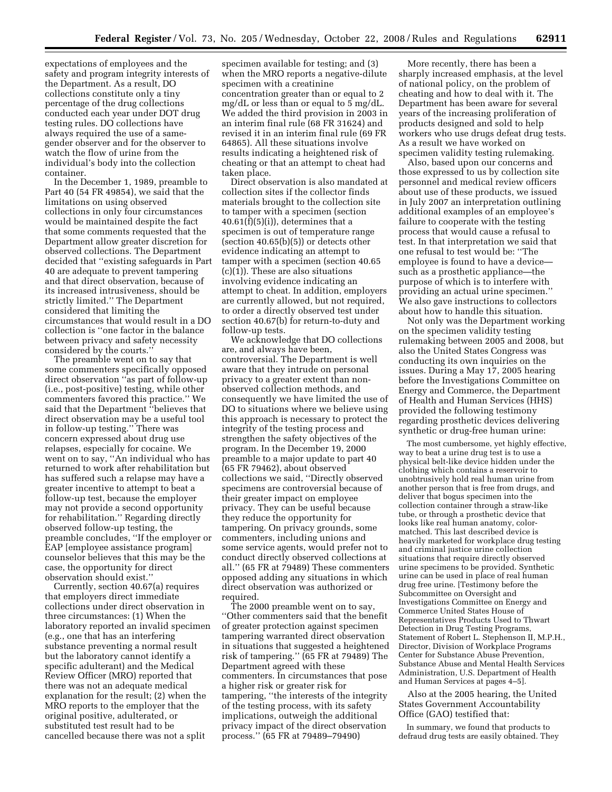expectations of employees and the safety and program integrity interests of the Department. As a result, DO collections constitute only a tiny percentage of the drug collections conducted each year under DOT drug testing rules. DO collections have always required the use of a samegender observer and for the observer to watch the flow of urine from the individual's body into the collection container.

In the December 1, 1989, preamble to Part 40 (54 FR 49854), we said that the limitations on using observed collections in only four circumstances would be maintained despite the fact that some comments requested that the Department allow greater discretion for observed collections. The Department decided that ''existing safeguards in Part 40 are adequate to prevent tampering and that direct observation, because of its increased intrusiveness, should be strictly limited.'' The Department considered that limiting the circumstances that would result in a DO collection is ''one factor in the balance between privacy and safety necessity considered by the courts.''

The preamble went on to say that some commenters specifically opposed direct observation ''as part of follow-up (i.e., post-positive) testing, while other commenters favored this practice.'' We said that the Department ''believes that direct observation may be a useful tool in follow-up testing.'' There was concern expressed about drug use relapses, especially for cocaine. We went on to say, ''An individual who has returned to work after rehabilitation but has suffered such a relapse may have a greater incentive to attempt to beat a follow-up test, because the employer may not provide a second opportunity for rehabilitation.'' Regarding directly observed follow-up testing, the preamble concludes, ''If the employer or EAP [employee assistance program] counselor believes that this may be the case, the opportunity for direct observation should exist.''

Currently, section 40.67(a) requires that employers direct immediate collections under direct observation in three circumstances: (1) When the laboratory reported an invalid specimen (e.g., one that has an interfering substance preventing a normal result but the laboratory cannot identify a specific adulterant) and the Medical Review Officer (MRO) reported that there was not an adequate medical explanation for the result; (2) when the MRO reports to the employer that the original positive, adulterated, or substituted test result had to be cancelled because there was not a split

specimen available for testing; and (3) when the MRO reports a negative-dilute specimen with a creatinine concentration greater than or equal to 2 mg/dL or less than or equal to 5 mg/dL. We added the third provision in 2003 in an interim final rule (68 FR 31624) and revised it in an interim final rule (69 FR 64865). All these situations involve results indicating a heightened risk of cheating or that an attempt to cheat had taken place.

Direct observation is also mandated at collection sites if the collector finds materials brought to the collection site to tamper with a specimen (section  $40.61(f)(5)(i)$ , determines that a specimen is out of temperature range (section 40.65(b)(5)) or detects other evidence indicating an attempt to tamper with a specimen (section 40.65  $(c)(1)$ . These are also situations involving evidence indicating an attempt to cheat. In addition, employers are currently allowed, but not required, to order a directly observed test under section 40.67(b) for return-to-duty and follow-up tests.

We acknowledge that DO collections are, and always have been, controversial. The Department is well aware that they intrude on personal privacy to a greater extent than nonobserved collection methods, and consequently we have limited the use of DO to situations where we believe using this approach is necessary to protect the integrity of the testing process and strengthen the safety objectives of the program. In the December 19, 2000 preamble to a major update to part 40 (65 FR 79462), about observed collections we said, ''Directly observed specimens are controversial because of their greater impact on employee privacy. They can be useful because they reduce the opportunity for tampering. On privacy grounds, some commenters, including unions and some service agents, would prefer not to conduct directly observed collections at all.'' (65 FR at 79489) These commenters opposed adding any situations in which direct observation was authorized or required.

The 2000 preamble went on to say, ''Other commenters said that the benefit of greater protection against specimen tampering warranted direct observation in situations that suggested a heightened risk of tampering.'' (65 FR at 79489) The Department agreed with these commenters. In circumstances that pose a higher risk or greater risk for tampering, ''the interests of the integrity of the testing process, with its safety implications, outweigh the additional privacy impact of the direct observation process.'' (65 FR at 79489–79490)

More recently, there has been a sharply increased emphasis, at the level of national policy, on the problem of cheating and how to deal with it. The Department has been aware for several years of the increasing proliferation of products designed and sold to help workers who use drugs defeat drug tests. As a result we have worked on specimen validity testing rulemaking.

Also, based upon our concerns and those expressed to us by collection site personnel and medical review officers about use of these products, we issued in July 2007 an interpretation outlining additional examples of an employee's failure to cooperate with the testing process that would cause a refusal to test. In that interpretation we said that one refusal to test would be: ''The employee is found to have a device such as a prosthetic appliance—the purpose of which is to interfere with providing an actual urine specimen.'' We also gave instructions to collectors about how to handle this situation.

Not only was the Department working on the specimen validity testing rulemaking between 2005 and 2008, but also the United States Congress was conducting its own inquiries on the issues. During a May 17, 2005 hearing before the Investigations Committee on Energy and Commerce, the Department of Health and Human Services (HHS) provided the following testimony regarding prosthetic devices delivering synthetic or drug-free human urine:

The most cumbersome, yet highly effective, way to beat a urine drug test is to use a physical belt-like device hidden under the clothing which contains a reservoir to unobtrusively hold real human urine from another person that is free from drugs, and deliver that bogus specimen into the collection container through a straw-like tube, or through a prosthetic device that looks like real human anatomy, colormatched. This last described device is heavily marketed for workplace drug testing and criminal justice urine collection situations that require directly observed urine specimens to be provided. Synthetic urine can be used in place of real human drug free urine. [Testimony before the Subcommittee on Oversight and Investigations Committee on Energy and Commerce United States House of Representatives Products Used to Thwart Detection in Drug Testing Programs, Statement of Robert L. Stephenson II, M.P.H., Director, Division of Workplace Programs Center for Substance Abuse Prevention, Substance Abuse and Mental Health Services Administration, U.S. Department of Health and Human Services at pages 4–5].

Also at the 2005 hearing, the United States Government Accountability Office (GAO) testified that:

In summary, we found that products to defraud drug tests are easily obtained. They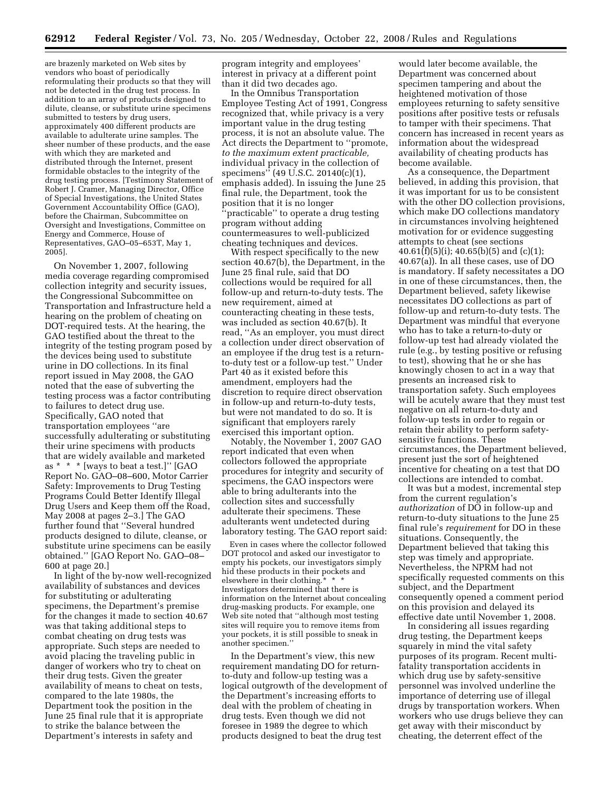are brazenly marketed on Web sites by vendors who boast of periodically reformulating their products so that they will not be detected in the drug test process. In addition to an array of products designed to dilute, cleanse, or substitute urine specimens submitted to testers by drug users, approximately 400 different products are available to adulterate urine samples. The sheer number of these products, and the ease with which they are marketed and distributed through the Internet, present formidable obstacles to the integrity of the drug testing process. [Testimony Statement of Robert J. Cramer, Managing Director, Office of Special Investigations, the United States Government Accountability Office (GAO), before the Chairman, Subcommittee on Oversight and Investigations, Committee on Energy and Commerce, House of Representatives, GAO–05–653T, May 1, 2005].

On November 1, 2007, following media coverage regarding compromised collection integrity and security issues, the Congressional Subcommittee on Transportation and Infrastructure held a hearing on the problem of cheating on DOT-required tests. At the hearing, the GAO testified about the threat to the integrity of the testing program posed by the devices being used to substitute urine in DO collections. In its final report issued in May 2008, the GAO noted that the ease of subverting the testing process was a factor contributing to failures to detect drug use. Specifically, GAO noted that transportation employees ''are successfully adulterating or substituting their urine specimens with products that are widely available and marketed as \* \* \* [ways to beat a test.]'' [GAO Report No. GAO–08–600, Motor Carrier Safety: Improvements to Drug Testing Programs Could Better Identify Illegal Drug Users and Keep them off the Road, May 2008 at pages 2–3.] The GAO further found that ''Several hundred products designed to dilute, cleanse, or substitute urine specimens can be easily obtained.'' [GAO Report No. GAO–08– 600 at page 20.]

In light of the by-now well-recognized availability of substances and devices for substituting or adulterating specimens, the Department's premise for the changes it made to section 40.67 was that taking additional steps to combat cheating on drug tests was appropriate. Such steps are needed to avoid placing the traveling public in danger of workers who try to cheat on their drug tests. Given the greater availability of means to cheat on tests, compared to the late 1980s, the Department took the position in the June 25 final rule that it is appropriate to strike the balance between the Department's interests in safety and

program integrity and employees' interest in privacy at a different point than it did two decades ago.

In the Omnibus Transportation Employee Testing Act of 1991, Congress recognized that, while privacy is a very important value in the drug testing process, it is not an absolute value. The Act directs the Department to ''promote, *to the maximum extent practicable,*  individual privacy in the collection of specimens'' (49 U.S.C. 20140(c)(1), emphasis added). In issuing the June 25 final rule, the Department, took the position that it is no longer ''practicable'' to operate a drug testing program without adding countermeasures to well-publicized cheating techniques and devices.

With respect specifically to the new section 40.67(b), the Department, in the June 25 final rule, said that DO collections would be required for all follow-up and return-to-duty tests. The new requirement, aimed at counteracting cheating in these tests, was included as section 40.67(b). It read, ''As an employer, you must direct a collection under direct observation of an employee if the drug test is a returnto-duty test or a follow-up test.'' Under Part 40 as it existed before this amendment, employers had the discretion to require direct observation in follow-up and return-to-duty tests, but were not mandated to do so. It is significant that employers rarely exercised this important option.

Notably, the November 1, 2007 GAO report indicated that even when collectors followed the appropriate procedures for integrity and security of specimens, the GAO inspectors were able to bring adulterants into the collection sites and successfully adulterate their specimens. These adulterants went undetected during laboratory testing. The GAO report said:

Even in cases where the collector followed DOT protocol and asked our investigator to empty his pockets, our investigators simply hid these products in their pockets and elsewhere in their clothing. Investigators determined that there is information on the Internet about concealing drug-masking products. For example, one Web site noted that ''although most testing sites will require you to remove items from your pockets, it is still possible to sneak in another specimen.''

In the Department's view, this new requirement mandating DO for returnto-duty and follow-up testing was a logical outgrowth of the development of the Department's increasing efforts to deal with the problem of cheating in drug tests. Even though we did not foresee in 1989 the degree to which products designed to beat the drug test

would later become available, the Department was concerned about specimen tampering and about the heightened motivation of those employees returning to safety sensitive positions after positive tests or refusals to tamper with their specimens. That concern has increased in recent years as information about the widespread availability of cheating products has become available.

As a consequence, the Department believed, in adding this provision, that it was important for us to be consistent with the other DO collection provisions, which make DO collections mandatory in circumstances involving heightened motivation for or evidence suggesting attempts to cheat (see sections  $40.61(f)(5)(i); 40.65(b)(5)$  and  $(c)(1);$ 40.67(a)). In all these cases, use of DO is mandatory. If safety necessitates a DO in one of these circumstances, then, the Department believed, safety likewise necessitates DO collections as part of follow-up and return-to-duty tests. The Department was mindful that everyone who has to take a return-to-duty or follow-up test had already violated the rule (e.g., by testing positive or refusing to test), showing that he or she has knowingly chosen to act in a way that presents an increased risk to transportation safety. Such employees will be acutely aware that they must test negative on all return-to-duty and follow-up tests in order to regain or retain their ability to perform safetysensitive functions. These circumstances, the Department believed, present just the sort of heightened incentive for cheating on a test that DO collections are intended to combat.

It was but a modest, incremental step from the current regulation's *authorization* of DO in follow-up and return-to-duty situations to the June 25 final rule's *requirement* for DO in these situations. Consequently, the Department believed that taking this step was timely and appropriate. Nevertheless, the NPRM had not specifically requested comments on this subject, and the Department consequently opened a comment period on this provision and delayed its effective date until November 1, 2008.

In considering all issues regarding drug testing, the Department keeps squarely in mind the vital safety purposes of its program. Recent multifatality transportation accidents in which drug use by safety-sensitive personnel was involved underline the importance of deterring use of illegal drugs by transportation workers. When workers who use drugs believe they can get away with their misconduct by cheating, the deterrent effect of the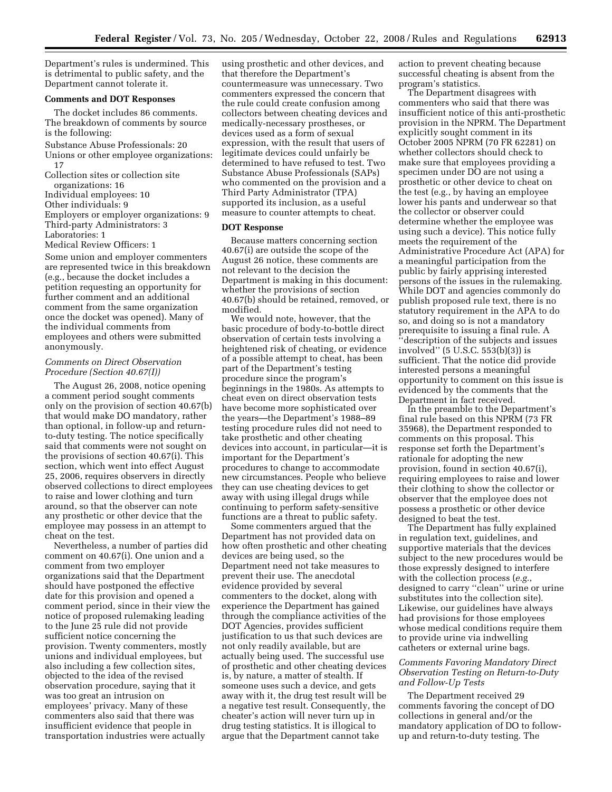Department's rules is undermined. This is detrimental to public safety, and the Department cannot tolerate it.

## **Comments and DOT Responses**

The docket includes 86 comments. The breakdown of comments by source is the following:

Substance Abuse Professionals: 20

Unions or other employee organizations: 17

Collection sites or collection site organizations: 16

Individual employees: 10

Other individuals: 9

Employers or employer organizations: 9 Third-party Administrators: 3 Laboratories: 1

Medical Review Officers: 1

Some union and employer commenters are represented twice in this breakdown (e.g., because the docket includes a petition requesting an opportunity for further comment and an additional comment from the same organization once the docket was opened). Many of the individual comments from employees and others were submitted anonymously.

# *Comments on Direct Observation Procedure (Section 40.67(I))*

The August 26, 2008, notice opening a comment period sought comments only on the provision of section 40.67(b) that would make DO mandatory, rather than optional, in follow-up and returnto-duty testing. The notice specifically said that comments were not sought on the provisions of section 40.67(i). This section, which went into effect August 25, 2006, requires observers in directly observed collections to direct employees to raise and lower clothing and turn around, so that the observer can note any prosthetic or other device that the employee may possess in an attempt to cheat on the test.

Nevertheless, a number of parties did comment on 40.67(i). One union and a comment from two employer organizations said that the Department should have postponed the effective date for this provision and opened a comment period, since in their view the notice of proposed rulemaking leading to the June 25 rule did not provide sufficient notice concerning the provision. Twenty commenters, mostly unions and individual employees, but also including a few collection sites, objected to the idea of the revised observation procedure, saying that it was too great an intrusion on employees' privacy. Many of these commenters also said that there was insufficient evidence that people in transportation industries were actually

using prosthetic and other devices, and that therefore the Department's countermeasure was unnecessary. Two commenters expressed the concern that the rule could create confusion among collectors between cheating devices and medically-necessary prostheses, or devices used as a form of sexual expression, with the result that users of legitimate devices could unfairly be determined to have refused to test. Two Substance Abuse Professionals (SAPs) who commented on the provision and a Third Party Administrator (TPA) supported its inclusion, as a useful measure to counter attempts to cheat.

#### **DOT Response**

Because matters concerning section 40.67(i) are outside the scope of the August 26 notice, these comments are not relevant to the decision the Department is making in this document: whether the provisions of section 40.67(b) should be retained, removed, or modified.

We would note, however, that the basic procedure of body-to-bottle direct observation of certain tests involving a heightened risk of cheating, or evidence of a possible attempt to cheat, has been part of the Department's testing procedure since the program's beginnings in the 1980s. As attempts to cheat even on direct observation tests have become more sophisticated over the years—the Department's 1988–89 testing procedure rules did not need to take prosthetic and other cheating devices into account, in particular—it is important for the Department's procedures to change to accommodate new circumstances. People who believe they can use cheating devices to get away with using illegal drugs while continuing to perform safety-sensitive functions are a threat to public safety.

Some commenters argued that the Department has not provided data on how often prosthetic and other cheating devices are being used, so the Department need not take measures to prevent their use. The anecdotal evidence provided by several commenters to the docket, along with experience the Department has gained through the compliance activities of the DOT Agencies, provides sufficient justification to us that such devices are not only readily available, but are actually being used. The successful use of prosthetic and other cheating devices is, by nature, a matter of stealth. If someone uses such a device, and gets away with it, the drug test result will be a negative test result. Consequently, the cheater's action will never turn up in drug testing statistics. It is illogical to argue that the Department cannot take

action to prevent cheating because successful cheating is absent from the program's statistics.

The Department disagrees with commenters who said that there was insufficient notice of this anti-prosthetic provision in the NPRM. The Department explicitly sought comment in its October 2005 NPRM (70 FR 62281) on whether collectors should check to make sure that employees providing a specimen under DO are not using a prosthetic or other device to cheat on the test (e.g., by having an employee lower his pants and underwear so that the collector or observer could determine whether the employee was using such a device). This notice fully meets the requirement of the Administrative Procedure Act (APA) for a meaningful participation from the public by fairly apprising interested persons of the issues in the rulemaking. While DOT and agencies commonly do publish proposed rule text, there is no statutory requirement in the APA to do so, and doing so is not a mandatory prerequisite to issuing a final rule. A ''description of the subjects and issues involved'' (5 U.S.C. 553(b)(3)) is sufficient. That the notice did provide interested persons a meaningful opportunity to comment on this issue is evidenced by the comments that the Department in fact received.

In the preamble to the Department's final rule based on this NPRM (73 FR 35968), the Department responded to comments on this proposal. This response set forth the Department's rationale for adopting the new provision, found in section 40.67(i), requiring employees to raise and lower their clothing to show the collector or observer that the employee does not possess a prosthetic or other device designed to beat the test.

The Department has fully explained in regulation text, guidelines, and supportive materials that the devices subject to the new procedures would be those expressly designed to interfere with the collection process (*e.g.*, designed to carry ''clean'' urine or urine substitutes into the collection site). Likewise, our guidelines have always had provisions for those employees whose medical conditions require them to provide urine via indwelling catheters or external urine bags.

## *Comments Favoring Mandatory Direct Observation Testing on Return-to-Duty and Follow-Up Tests*

The Department received 29 comments favoring the concept of DO collections in general and/or the mandatory application of DO to followup and return-to-duty testing. The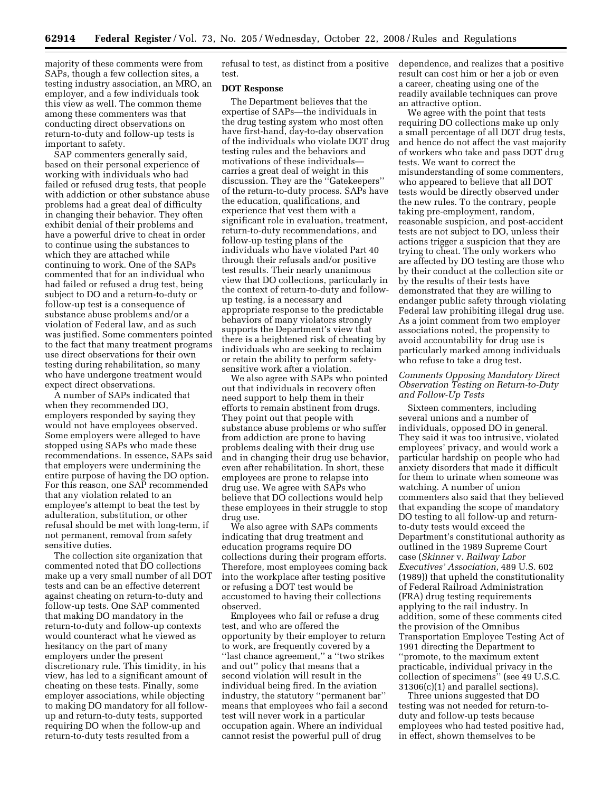majority of these comments were from SAPs, though a few collection sites, a testing industry association, an MRO, an employer, and a few individuals took this view as well. The common theme among these commenters was that conducting direct observations on return-to-duty and follow-up tests is important to safety.

SAP commenters generally said, based on their personal experience of working with individuals who had failed or refused drug tests, that people with addiction or other substance abuse problems had a great deal of difficulty in changing their behavior. They often exhibit denial of their problems and have a powerful drive to cheat in order to continue using the substances to which they are attached while continuing to work. One of the SAPs commented that for an individual who had failed or refused a drug test, being subject to DO and a return-to-duty or follow-up test is a consequence of substance abuse problems and/or a violation of Federal law, and as such was justified. Some commenters pointed to the fact that many treatment programs use direct observations for their own testing during rehabilitation, so many who have undergone treatment would expect direct observations.

A number of SAPs indicated that when they recommended DO, employers responded by saying they would not have employees observed. Some employers were alleged to have stopped using SAPs who made these recommendations. In essence, SAPs said that employers were undermining the entire purpose of having the DO option. For this reason, one SAP recommended that any violation related to an employee's attempt to beat the test by adulteration, substitution, or other refusal should be met with long-term, if not permanent, removal from safety sensitive duties.

The collection site organization that commented noted that DO collections make up a very small number of all DOT tests and can be an effective deterrent against cheating on return-to-duty and follow-up tests. One SAP commented that making DO mandatory in the return-to-duty and follow-up contexts would counteract what he viewed as hesitancy on the part of many employers under the present discretionary rule. This timidity, in his view, has led to a significant amount of cheating on these tests. Finally, some employer associations, while objecting to making DO mandatory for all followup and return-to-duty tests, supported requiring DO when the follow-up and return-to-duty tests resulted from a

refusal to test, as distinct from a positive test.

## **DOT Response**

The Department believes that the expertise of SAPs—the individuals in the drug testing system who most often have first-hand, day-to-day observation of the individuals who violate DOT drug testing rules and the behaviors and motivations of these individuals carries a great deal of weight in this discussion. They are the ''Gatekeepers'' of the return-to-duty process. SAPs have the education, qualifications, and experience that vest them with a significant role in evaluation, treatment, return-to-duty recommendations, and follow-up testing plans of the individuals who have violated Part 40 through their refusals and/or positive test results. Their nearly unanimous view that DO collections, particularly in the context of return-to-duty and followup testing, is a necessary and appropriate response to the predictable behaviors of many violators strongly supports the Department's view that there is a heightened risk of cheating by individuals who are seeking to reclaim or retain the ability to perform safetysensitive work after a violation.

We also agree with SAPs who pointed out that individuals in recovery often need support to help them in their efforts to remain abstinent from drugs. They point out that people with substance abuse problems or who suffer from addiction are prone to having problems dealing with their drug use and in changing their drug use behavior, even after rehabilitation. In short, these employees are prone to relapse into drug use. We agree with SAPs who believe that DO collections would help these employees in their struggle to stop drug use.

We also agree with SAPs comments indicating that drug treatment and education programs require DO collections during their program efforts. Therefore, most employees coming back into the workplace after testing positive or refusing a DOT test would be accustomed to having their collections observed.

Employees who fail or refuse a drug test, and who are offered the opportunity by their employer to return to work, are frequently covered by a ''last chance agreement,'' a ''two strikes and out'' policy that means that a second violation will result in the individual being fired. In the aviation industry, the statutory ''permanent bar'' means that employees who fail a second test will never work in a particular occupation again. Where an individual cannot resist the powerful pull of drug

dependence, and realizes that a positive result can cost him or her a job or even a career, cheating using one of the readily available techniques can prove an attractive option.

We agree with the point that tests requiring DO collections make up only a small percentage of all DOT drug tests, and hence do not affect the vast majority of workers who take and pass DOT drug tests. We want to correct the misunderstanding of some commenters, who appeared to believe that all DOT tests would be directly observed under the new rules. To the contrary, people taking pre-employment, random, reasonable suspicion, and post-accident tests are not subject to DO, unless their actions trigger a suspicion that they are trying to cheat. The only workers who are affected by DO testing are those who by their conduct at the collection site or by the results of their tests have demonstrated that they are willing to endanger public safety through violating Federal law prohibiting illegal drug use. As a joint comment from two employer associations noted, the propensity to avoid accountability for drug use is particularly marked among individuals who refuse to take a drug test.

## *Comments Opposing Mandatory Direct Observation Testing on Return-to-Duty and Follow-Up Tests*

Sixteen commenters, including several unions and a number of individuals, opposed DO in general. They said it was too intrusive, violated employees' privacy, and would work a particular hardship on people who had anxiety disorders that made it difficult for them to urinate when someone was watching. A number of union commenters also said that they believed that expanding the scope of mandatory DO testing to all follow-up and returnto-duty tests would exceed the Department's constitutional authority as outlined in the 1989 Supreme Court case (*Skinner* v. *Railway Labor Executives' Association*, 489 U.S. 602 (1989)) that upheld the constitutionality of Federal Railroad Administration (FRA) drug testing requirements applying to the rail industry. In addition, some of these comments cited the provision of the Omnibus Transportation Employee Testing Act of 1991 directing the Department to ''promote, to the maximum extent practicable, individual privacy in the collection of specimens'' (see 49 U.S.C. 31306(c)(1) and parallel sections).

Three unions suggested that DO testing was not needed for return-toduty and follow-up tests because employees who had tested positive had, in effect, shown themselves to be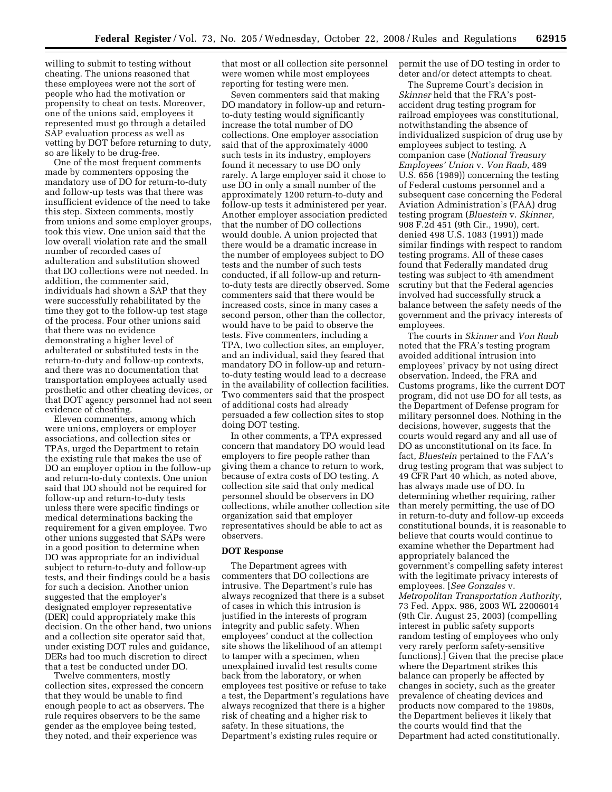willing to submit to testing without cheating. The unions reasoned that these employees were not the sort of people who had the motivation or propensity to cheat on tests. Moreover, one of the unions said, employees it represented must go through a detailed SAP evaluation process as well as vetting by DOT before returning to duty, so are likely to be drug-free.

One of the most frequent comments made by commenters opposing the mandatory use of DO for return-to-duty and follow-up tests was that there was insufficient evidence of the need to take this step. Sixteen comments, mostly from unions and some employer groups, took this view. One union said that the low overall violation rate and the small number of recorded cases of adulteration and substitution showed that DO collections were not needed. In addition, the commenter said, individuals had shown a SAP that they were successfully rehabilitated by the time they got to the follow-up test stage of the process. Four other unions said that there was no evidence demonstrating a higher level of adulterated or substituted tests in the return-to-duty and follow-up contexts, and there was no documentation that transportation employees actually used prosthetic and other cheating devices, or that DOT agency personnel had not seen evidence of cheating.

Eleven commenters, among which were unions, employers or employer associations, and collection sites or TPAs, urged the Department to retain the existing rule that makes the use of DO an employer option in the follow-up and return-to-duty contexts. One union said that DO should not be required for follow-up and return-to-duty tests unless there were specific findings or medical determinations backing the requirement for a given employee. Two other unions suggested that SAPs were in a good position to determine when DO was appropriate for an individual subject to return-to-duty and follow-up tests, and their findings could be a basis for such a decision. Another union suggested that the employer's designated employer representative (DER) could appropriately make this decision. On the other hand, two unions and a collection site operator said that, under existing DOT rules and guidance, DERs had too much discretion to direct that a test be conducted under DO.

Twelve commenters, mostly collection sites, expressed the concern that they would be unable to find enough people to act as observers. The rule requires observers to be the same gender as the employee being tested, they noted, and their experience was

that most or all collection site personnel were women while most employees reporting for testing were men.

Seven commenters said that making DO mandatory in follow-up and returnto-duty testing would significantly increase the total number of DO collections. One employer association said that of the approximately 4000 such tests in its industry, employers found it necessary to use DO only rarely. A large employer said it chose to use DO in only a small number of the approximately 1200 return-to-duty and follow-up tests it administered per year. Another employer association predicted that the number of DO collections would double. A union projected that there would be a dramatic increase in the number of employees subject to DO tests and the number of such tests conducted, if all follow-up and returnto-duty tests are directly observed. Some commenters said that there would be increased costs, since in many cases a second person, other than the collector, would have to be paid to observe the tests. Five commenters, including a TPA, two collection sites, an employer, and an individual, said they feared that mandatory DO in follow-up and returnto-duty testing would lead to a decrease in the availability of collection facilities. Two commenters said that the prospect of additional costs had already persuaded a few collection sites to stop doing DOT testing.

In other comments, a TPA expressed concern that mandatory DO would lead employers to fire people rather than giving them a chance to return to work, because of extra costs of DO testing. A collection site said that only medical personnel should be observers in DO collections, while another collection site organization said that employer representatives should be able to act as observers.

## **DOT Response**

The Department agrees with commenters that DO collections are intrusive. The Department's rule has always recognized that there is a subset of cases in which this intrusion is justified in the interests of program integrity and public safety. When employees' conduct at the collection site shows the likelihood of an attempt to tamper with a specimen, when unexplained invalid test results come back from the laboratory, or when employees test positive or refuse to take a test, the Department's regulations have always recognized that there is a higher risk of cheating and a higher risk to safety. In these situations, the Department's existing rules require or

permit the use of DO testing in order to deter and/or detect attempts to cheat.

The Supreme Court's decision in *Skinner* held that the FRA's postaccident drug testing program for railroad employees was constitutional, notwithstanding the absence of individualized suspicion of drug use by employees subject to testing. A companion case (*National Treasury Employees' Union* v. *Von Raab*, 489 U.S. 656 (1989)) concerning the testing of Federal customs personnel and a subsequent case concerning the Federal Aviation Administration's (FAA) drug testing program (*Bluestein* v. *Skinner*, 908 F.2d 451 (9th Cir., 1990), cert. denied 498 U.S. 1083 (1991)) made similar findings with respect to random testing programs. All of these cases found that Federally mandated drug testing was subject to 4th amendment scrutiny but that the Federal agencies involved had successfully struck a balance between the safety needs of the government and the privacy interests of employees.

The courts in *Skinner* and *Von Raab*  noted that the FRA's testing program avoided additional intrusion into employees' privacy by not using direct observation. Indeed, the FRA and Customs programs, like the current DOT program, did not use DO for all tests, as the Department of Defense program for military personnel does. Nothing in the decisions, however, suggests that the courts would regard any and all use of DO as unconstitutional on its face. In fact, *Bluestein* pertained to the FAA's drug testing program that was subject to 49 CFR Part 40 which, as noted above, has always made use of DO. In determining whether requiring, rather than merely permitting, the use of DO in return-to-duty and follow-up exceeds constitutional bounds, it is reasonable to believe that courts would continue to examine whether the Department had appropriately balanced the government's compelling safety interest with the legitimate privacy interests of employees. [*See Gonzales* v. *Metropolitan Transportation Authority*, 73 Fed. Appx. 986, 2003 WL 22006014 (9th Cir. August 25, 2003) (compelling interest in public safety supports random testing of employees who only very rarely perform safety-sensitive functions).] Given that the precise place where the Department strikes this balance can properly be affected by changes in society, such as the greater prevalence of cheating devices and products now compared to the 1980s, the Department believes it likely that the courts would find that the Department had acted constitutionally.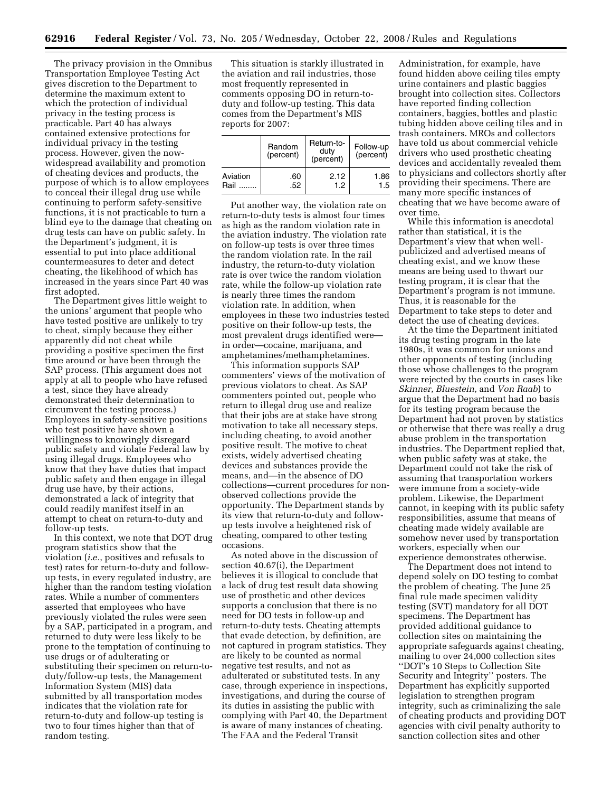The privacy provision in the Omnibus Transportation Employee Testing Act gives discretion to the Department to determine the maximum extent to which the protection of individual privacy in the testing process is practicable. Part 40 has always contained extensive protections for individual privacy in the testing process. However, given the nowwidespread availability and promotion of cheating devices and products, the purpose of which is to allow employees to conceal their illegal drug use while continuing to perform safety-sensitive functions, it is not practicable to turn a blind eye to the damage that cheating on drug tests can have on public safety. In the Department's judgment, it is essential to put into place additional countermeasures to deter and detect cheating, the likelihood of which has increased in the years since Part 40 was first adopted.

The Department gives little weight to the unions' argument that people who have tested positive are unlikely to try to cheat, simply because they either apparently did not cheat while providing a positive specimen the first time around or have been through the SAP process. (This argument does not apply at all to people who have refused a test, since they have already demonstrated their determination to circumvent the testing process.) Employees in safety-sensitive positions who test positive have shown a willingness to knowingly disregard public safety and violate Federal law by using illegal drugs. Employees who know that they have duties that impact public safety and then engage in illegal drug use have, by their actions, demonstrated a lack of integrity that could readily manifest itself in an attempt to cheat on return-to-duty and follow-up tests.

In this context, we note that DOT drug program statistics show that the violation (*i.e.*, positives and refusals to test) rates for return-to-duty and followup tests, in every regulated industry, are higher than the random testing violation rates. While a number of commenters asserted that employees who have previously violated the rules were seen by a SAP, participated in a program, and returned to duty were less likely to be prone to the temptation of continuing to use drugs or of adulterating or substituting their specimen on return-toduty/follow-up tests, the Management Information System (MIS) data submitted by all transportation modes indicates that the violation rate for return-to-duty and follow-up testing is two to four times higher than that of random testing.

This situation is starkly illustrated in the aviation and rail industries, those most frequently represented in comments opposing DO in return-toduty and follow-up testing. This data comes from the Department's MIS reports for 2007:

|          | Random<br>(percent) | Return-to-<br>duty<br>(percent) | Follow-up<br>(percent) |
|----------|---------------------|---------------------------------|------------------------|
| Aviation | .60                 | 2.12                            | 1.86                   |
| Rail     | .52                 | 1.2                             | 1.5                    |

Put another way, the violation rate on return-to-duty tests is almost four times as high as the random violation rate in the aviation industry. The violation rate on follow-up tests is over three times the random violation rate. In the rail industry, the return-to-duty violation rate is over twice the random violation rate, while the follow-up violation rate is nearly three times the random violation rate. In addition, when employees in these two industries tested positive on their follow-up tests, the most prevalent drugs identified were in order—cocaine, marijuana, and amphetamines/methamphetamines.

This information supports SAP commenters' views of the motivation of previous violators to cheat. As SAP commenters pointed out, people who return to illegal drug use and realize that their jobs are at stake have strong motivation to take all necessary steps, including cheating, to avoid another positive result. The motive to cheat exists, widely advertised cheating devices and substances provide the means, and—in the absence of DO collections—current procedures for nonobserved collections provide the opportunity. The Department stands by its view that return-to-duty and followup tests involve a heightened risk of cheating, compared to other testing occasions.

As noted above in the discussion of section 40.67(i), the Department believes it is illogical to conclude that a lack of drug test result data showing use of prosthetic and other devices supports a conclusion that there is no need for DO tests in follow-up and return-to-duty tests. Cheating attempts that evade detection, by definition, are not captured in program statistics. They are likely to be counted as normal negative test results, and not as adulterated or substituted tests. In any case, through experience in inspections, investigations, and during the course of its duties in assisting the public with complying with Part 40, the Department is aware of many instances of cheating. The FAA and the Federal Transit

Administration, for example, have found hidden above ceiling tiles empty urine containers and plastic baggies brought into collection sites. Collectors have reported finding collection containers, baggies, bottles and plastic tubing hidden above ceiling tiles and in trash containers. MROs and collectors have told us about commercial vehicle drivers who used prosthetic cheating devices and accidentally revealed them to physicians and collectors shortly after providing their specimens. There are many more specific instances of cheating that we have become aware of over time.

While this information is anecdotal rather than statistical, it is the Department's view that when wellpublicized and advertised means of cheating exist, and we know these means are being used to thwart our testing program, it is clear that the Department's program is not immune. Thus, it is reasonable for the Department to take steps to deter and detect the use of cheating devices.

At the time the Department initiated its drug testing program in the late 1980s, it was common for unions and other opponents of testing (including those whose challenges to the program were rejected by the courts in cases like *Skinner*, *Bluestein*, and *Von Raab*) to argue that the Department had no basis for its testing program because the Department had not proven by statistics or otherwise that there was really a drug abuse problem in the transportation industries. The Department replied that, when public safety was at stake, the Department could not take the risk of assuming that transportation workers were immune from a society-wide problem. Likewise, the Department cannot, in keeping with its public safety responsibilities, assume that means of cheating made widely available are somehow never used by transportation workers, especially when our experience demonstrates otherwise.

The Department does not intend to depend solely on DO testing to combat the problem of cheating. The June 25 final rule made specimen validity testing (SVT) mandatory for all DOT specimens. The Department has provided additional guidance to collection sites on maintaining the appropriate safeguards against cheating, mailing to over 24,000 collection sites ''DOT's 10 Steps to Collection Site Security and Integrity'' posters. The Department has explicitly supported legislation to strengthen program integrity, such as criminalizing the sale of cheating products and providing DOT agencies with civil penalty authority to sanction collection sites and other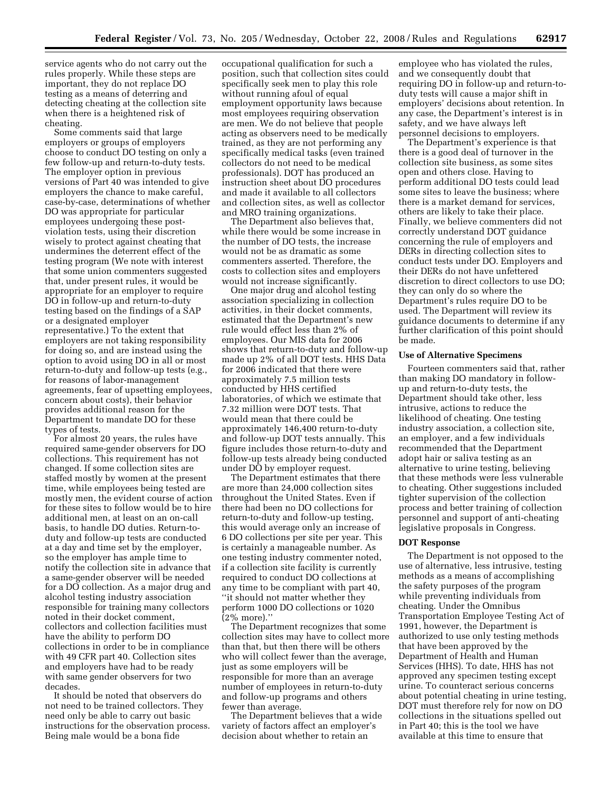service agents who do not carry out the rules properly. While these steps are important, they do not replace DO testing as a means of deterring and detecting cheating at the collection site when there is a heightened risk of cheating.

Some comments said that large employers or groups of employers choose to conduct DO testing on only a few follow-up and return-to-duty tests. The employer option in previous versions of Part 40 was intended to give employers the chance to make careful, case-by-case, determinations of whether DO was appropriate for particular employees undergoing these postviolation tests, using their discretion wisely to protect against cheating that undermines the deterrent effect of the testing program (We note with interest that some union commenters suggested that, under present rules, it would be appropriate for an employer to require DO in follow-up and return-to-duty testing based on the findings of a SAP or a designated employer representative.) To the extent that employers are not taking responsibility for doing so, and are instead using the option to avoid using DO in all or most return-to-duty and follow-up tests (e.g., for reasons of labor-management agreements, fear of upsetting employees, concern about costs), their behavior provides additional reason for the Department to mandate DO for these types of tests.

For almost 20 years, the rules have required same-gender observers for DO collections. This requirement has not changed. If some collection sites are staffed mostly by women at the present time, while employees being tested are mostly men, the evident course of action for these sites to follow would be to hire additional men, at least on an on-call basis, to handle DO duties. Return-toduty and follow-up tests are conducted at a day and time set by the employer, so the employer has ample time to notify the collection site in advance that a same-gender observer will be needed for a DO collection. As a major drug and alcohol testing industry association responsible for training many collectors noted in their docket comment, collectors and collection facilities must have the ability to perform DO collections in order to be in compliance with 49 CFR part 40. Collection sites and employers have had to be ready with same gender observers for two decades.

It should be noted that observers do not need to be trained collectors. They need only be able to carry out basic instructions for the observation process. Being male would be a bona fide

occupational qualification for such a position, such that collection sites could specifically seek men to play this role without running afoul of equal employment opportunity laws because most employees requiring observation are men. We do not believe that people acting as observers need to be medically trained, as they are not performing any specifically medical tasks (even trained collectors do not need to be medical professionals). DOT has produced an instruction sheet about DO procedures and made it available to all collectors and collection sites, as well as collector and MRO training organizations.

The Department also believes that, while there would be some increase in the number of DO tests, the increase would not be as dramatic as some commenters asserted. Therefore, the costs to collection sites and employers would not increase significantly.

One major drug and alcohol testing association specializing in collection activities, in their docket comments, estimated that the Department's new rule would effect less than 2% of employees. Our MIS data for 2006 shows that return-to-duty and follow-up made up 2% of all DOT tests. HHS Data for 2006 indicated that there were approximately 7.5 million tests conducted by HHS certified laboratories, of which we estimate that 7.32 million were DOT tests. That would mean that there could be approximately 146,400 return-to-duty and follow-up DOT tests annually. This figure includes those return-to-duty and follow-up tests already being conducted under DO by employer request.

The Department estimates that there are more than 24,000 collection sites throughout the United States. Even if there had been no DO collections for return-to-duty and follow-up testing, this would average only an increase of 6 DO collections per site per year. This is certainly a manageable number. As one testing industry commenter noted, if a collection site facility is currently required to conduct DO collections at any time to be compliant with part 40, ''it should not matter whether they perform 1000 DO collections or 1020 (2% more).''

The Department recognizes that some collection sites may have to collect more than that, but then there will be others who will collect fewer than the average, just as some employers will be responsible for more than an average number of employees in return-to-duty and follow-up programs and others fewer than average.

The Department believes that a wide variety of factors affect an employer's decision about whether to retain an

employee who has violated the rules, and we consequently doubt that requiring DO in follow-up and return-toduty tests will cause a major shift in employers' decisions about retention. In any case, the Department's interest is in safety, and we have always left personnel decisions to employers.

The Department's experience is that there is a good deal of turnover in the collection site business, as some sites open and others close. Having to perform additional DO tests could lead some sites to leave the business; where there is a market demand for services, others are likely to take their place. Finally, we believe commenters did not correctly understand DOT guidance concerning the rule of employers and DERs in directing collection sites to conduct tests under DO. Employers and their DERs do not have unfettered discretion to direct collectors to use DO; they can only do so where the Department's rules require DO to be used. The Department will review its guidance documents to determine if any further clarification of this point should be made.

## **Use of Alternative Specimens**

Fourteen commenters said that, rather than making DO mandatory in followup and return-to-duty tests, the Department should take other, less intrusive, actions to reduce the likelihood of cheating. One testing industry association, a collection site, an employer, and a few individuals recommended that the Department adopt hair or saliva testing as an alternative to urine testing, believing that these methods were less vulnerable to cheating. Other suggestions included tighter supervision of the collection process and better training of collection personnel and support of anti-cheating legislative proposals in Congress.

## **DOT Response**

The Department is not opposed to the use of alternative, less intrusive, testing methods as a means of accomplishing the safety purposes of the program while preventing individuals from cheating. Under the Omnibus Transportation Employee Testing Act of 1991, however, the Department is authorized to use only testing methods that have been approved by the Department of Health and Human Services (HHS). To date, HHS has not approved any specimen testing except urine. To counteract serious concerns about potential cheating in urine testing, DOT must therefore rely for now on DO collections in the situations spelled out in Part 40; this is the tool we have available at this time to ensure that